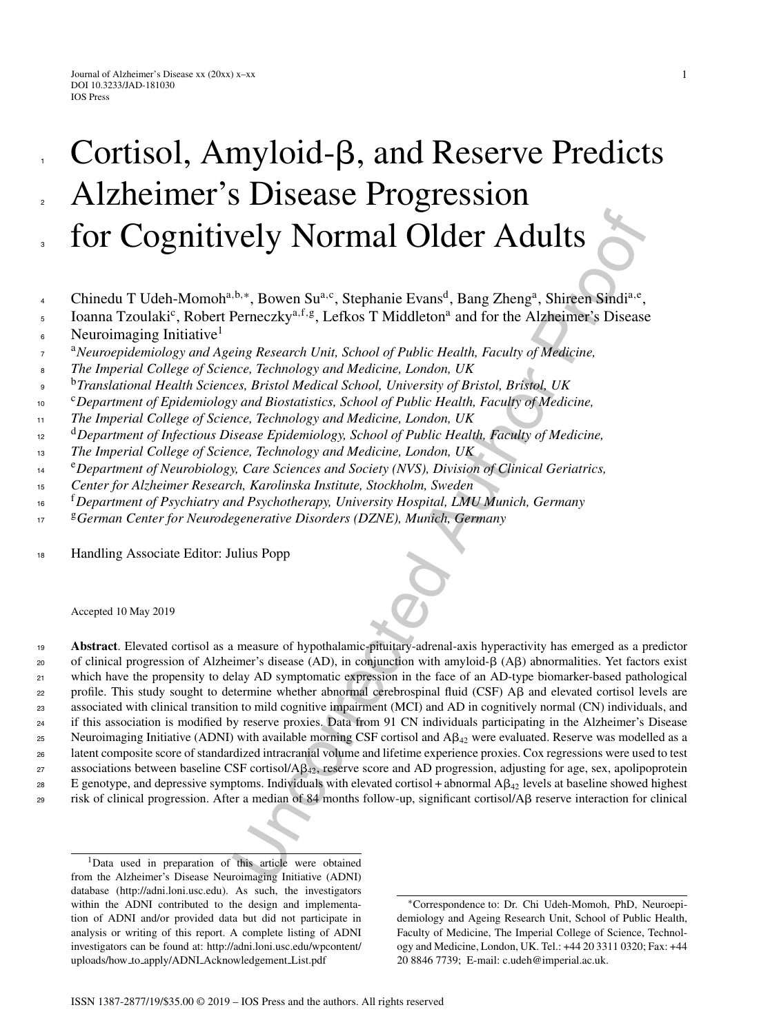# Cortisol, Amyloid- $\beta$ , and Reserve Predicts Alzheimer's Disease Progression for Cognitively Normal Older Adults 1 2 3

- Chinedu T Udeh-Momoh<sup>a, b,∗</sup>, Bowen Su<sup>a, c</sup>, Stephanie Evans<sup>d</sup>, Bang Zheng<sup>a</sup>, Shireen Sindi<sup>a, e</sup>, 4
- Ioanna Tzoulaki<sup>c</sup>, Robert Perneczky<sup>a, f, g</sup>, Lefkos T Middleton<sup>a</sup> and for the Alzheimer's Disease 5
- Neuroimaging Initiative<sup>1</sup> 6
- <sup>a</sup>*Neuroepidemiology and Ageing Research Unit, School of Public Health, Faculty of Medicine,* 7
- *The Imperial College of Science, Technology and Medicine, London, UK* 8
- <sup>b</sup> <sup>9</sup> *Translational Health Sciences, Bristol Medical School, University of Bristol, Bristol, UK*
- <sup>c</sup>*Department of Epidemiology and Biostatistics, School of Public Health, Faculty of Medicine,* 10
- *The Imperial College of Science, Technology and Medicine, London, UK* 11
- <sup>d</sup>*Department of Infectious Disease Epidemiology, School of Public Health, Faculty of Medicine,* 12
- *The Imperial College of Science, Technology and Medicine, London, UK* 13
- <sup>e</sup>*Department of Neurobiology, Care Sciences and Society (NVS), Division of Clinical Geriatrics,* 14
- *Center for Alzheimer Research, Karolinska Institute, Stockholm, Sweden* 15
- <sup>f</sup> <sup>16</sup> *Department of Psychiatry and Psychotherapy, University Hospital, LMU Munich, Germany*
- <sup>g</sup> <sup>17</sup> *German Center for Neurodegenerative Disorders (DZNE), Munich, Germany*

<sup>18</sup> Handling Associate Editor: Julius Popp

Accepted 10 May 2019

*Secure 19* **Normal Older Adults**<br>
<sup>the</sup>, Bowen Su<sup>nce</sup>, Stephanic Evans<sup>d</sup>, Bang Zheng<sup>a</sup>, Shireer Sindi<sup>ase,</sup><br>
Perneczky<sup>n,4,5</sup>8, Lefkos T Middleton<sup>a</sup> and for the Alzheimer's Disease<br>
eign Research Unit, School of Publi **Abstract**. Elevated cortisol as a measure of hypothalamic-pituitary-adrenal-axis hyperactivity has emerged as a predictor of clinical progression of Alzheimer's disease (AD), in conjunction with amyloid- $\beta$  (A $\beta$ ) abnormalities. Yet factors exist which have the propensity to delay AD symptomatic expression in the face of an AD-type biomarker-based pathological profile. This study sought to determine whether abnormal cerebrospinal fluid (CSF)  $\beta\beta$  and elevated cortisol levels are associated with clinical transition to mild cognitive impairment (MCI) and AD in cognitively normal (CN) individuals, and if this association is modified by reserve proxies. Data from 91 CN individuals participating in the Alzheimer's Disease Neuroimaging Initiative (ADNI) with available morning CSF cortisol and  $A\beta_{42}$  were evaluated. Reserve was modelled as a latent composite score of standardized intracranial volume and lifetime experience proxies. Cox regressions were used to test associations between baseline CSF cortisol/ $AB_{42}$ , reserve score and AD progression, adjusting for age, sex, apolipoprotein E genotype, and depressive symptoms. Individuals with elevated cortisol + abnormal  $A\beta_{42}$  levels at baseline showed highest risk of clinical progression. After a median of 84 months follow-up, significant cortisol/A $\beta$  reserve interaction for clinical 19 20  $21$ 22 23 24 25 26 27 28 29

<sup>1</sup>Data used in preparation of this article were obtained from the Alzheimer's Disease Neuroimaging Initiative (ADNI) database [\(http://adni.loni.usc.edu](http://adni.loni.usc.edu)). As such, the investigators within the ADNI contributed to the design and implementation of ADNI and/or provided data but did not participate in analysis or writing of this report. A complete listing of ADNI investigators can be found at: [http://adni.loni.usc.edu/wpcontent/](http://adni.loni.usc.edu/wpcontent/uploads/how_to_apply/ADNI_Acknowledgement_List.pdf) uploads/how to apply/ADNI Acknowledgement List.pdf

∗Correspondence to: Dr. Chi Udeh-Momoh, PhD, Neuroepidemiology and Ageing Research Unit, School of Public Health, Faculty of Medicine, The Imperial College of Science, Technology and Medicine, London, UK. Tel.: +44 20 3311 0320; Fax: +44 20 8846 7739; E-mail: [c.udeh@imperial.ac.uk.](mailto:c.udeh@imperial.ac.uk)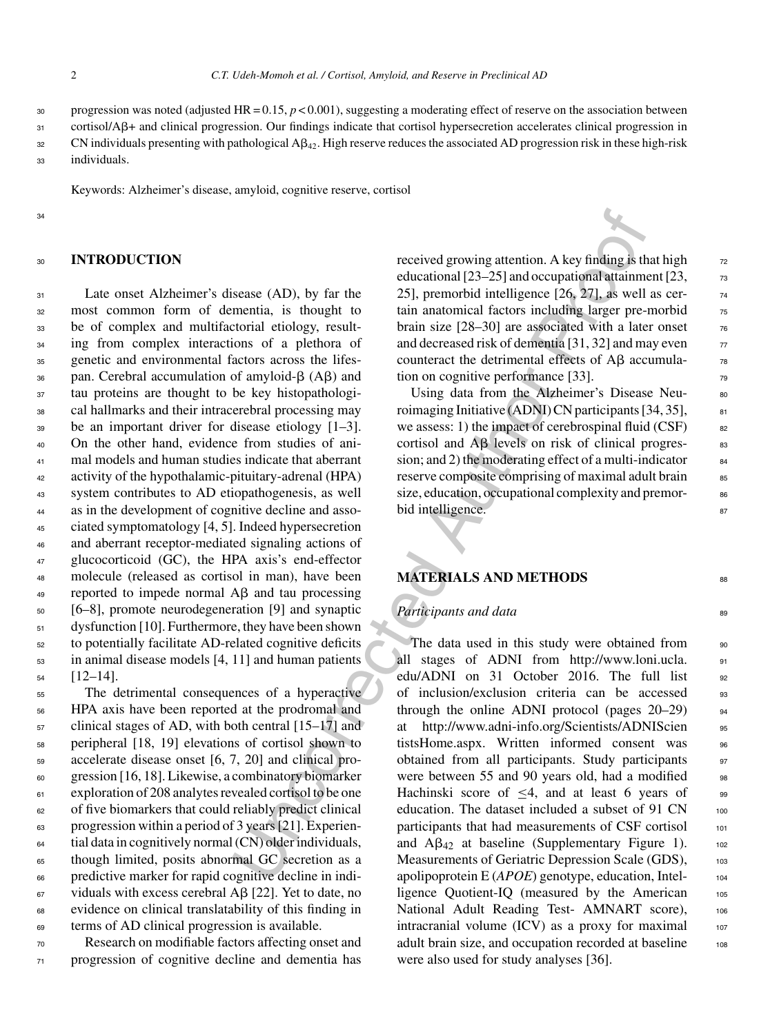cortisol/Aß+ and clinical progression. Our findings indicate that cortisol hypersecretion accelerates clinical progression in 31

CN individuals presenting with pathological  $A\beta_{42}$ . High reserve reduces the associated AD progression risk in these high-risk individuals. 32  $33$ 

Keywords: Alzheimer's disease, amyloid, cognitive reserve, cortisol

34

### <sup>30</sup> **INTRODUCTION**

 Late onset Alzheimer's disease (AD), by far the most common form of dementia, is thought to be of complex and multifactorial etiology, result- ing from complex interactions of a plethora of genetic and environmental factors across the lifes- $_{36}$  pan. Cerebral accumulation of amyloid- $\beta$  (A $\beta$ ) and tau proteins are thought to be key histopathologi- cal hallmarks and their intracerebral processing may be an important driver for disease etiology [1–3]. On the other hand, evidence from studies of ani- mal models and human studies indicate that aberrant activity of the hypothalamic-pituitary-adrenal (HPA) system contributes to AD etiopathogenesis, as well as in the development of cognitive decline and asso- ciated symptomatology [4, 5]. Indeed hypersecretion and aberrant receptor-mediated signaling actions of glucocorticoid (GC), the HPA axis's end-effector molecule (released as cortisol in man), have been reported to impede normal A $\beta$  and tau processing [6–8], promote neurodegeneration [9] and synaptic 51 dysfunction [10]. Furthermore, they have been shown to potentially facilitate AD-related cognitive deficits in animal disease models [4, 11] and human patients <sup>54</sup> [12–14].

 The detrimental consequences of a hyperactive HPA axis have been reported at the prodromal and clinical stages of AD, with both central [15–17] and peripheral [18, 19] elevations of cortisol shown to accelerate disease onset [6, 7, 20] and clinical pro- gression [16, 18]. Likewise, a combinatory biomarker exploration of 208 analytes revealed cortisol to be one of five biomarkers that could reliably predict clinical progression within a period of 3 years [21]. Experien-<sup>64</sup> tial data in cognitively normal (CN) older individuals, though limited, posits abnormal GC secretion as a predictive marker for rapid cognitive decline in indi- viduals with excess cerebral A $\beta$  [22]. Yet to date, no evidence on clinical translatability of this finding in terms of AD clinical progression is available.

<sup>70</sup> Research on modifiable factors affecting onset and <sup>71</sup> progression of cognitive decline and dementia has received growing attention. A key finding is that high  $\frac{72}{2}$ educational  $[23-25]$  and occupational attainment  $[23, 73]$ 25], premorbid intelligence  $[26, 27]$ , as well as certain anatomical factors including larger pre-morbid  $\frac{75}{25}$ brain size  $[28-30]$  are associated with a later onset  $\frac{76}{6}$ and decreased risk of dementia [31, 32] and may even  $\frac{77}{27}$ counteract the detrimental effects of  $\text{A}\beta$  accumulation on cognitive performance [33].

Using data from the Alzheimer's Disease Neuroimaging Initiative (ADNI) CN participants  $[34, 35]$ ,  $\qquad \quad \text{81}$ we assess: 1) the impact of cerebrospinal fluid  $(CSF)$  82 cortisol and  $\overrightarrow{AB}$  levels on risk of clinical progression; and 2) the moderating effect of a multi-indicator reserve composite comprising of maximal adult brain 85 size, education, occupational complexity and premorbid intelligence.

# **MATERIALS AND METHODS** 88

# *Participants and data* 89

received growing attention. A key finding is eases (AD), by far the  $21$ , permorbid intelligence [26, 27], as well to thin since [28, 27], as well to thin since the branconical fields (see the society counter of the proof The data used in this study were obtained from 90 all stages of ADNI from [http://www.loni.ucla.](http://www.loni.ucla.edu/ADNI) edu/ADNI on 31 October 2016. The full list 92 of inclusion/exclusion criteria can be accessed <sup>93</sup> through the online ADNI protocol (pages  $20-29$ ) 94 at [http://www.adni-info.org/Scientists/ADNIScien](http://www.adni-info.org/Scientists/ADNIScientistsHome.aspx) 95 tistsHome.aspx. Written informed consent was obtained from all participants. Study participants <sup>97</sup> were between 55 and 90 years old, had a modified 98 Hachinski score of  $\leq 4$ , and at least 6 years of 99 education. The dataset included a subset of 91 CN 100 participants that had measurements of CSF cortisol 101 and  $\text{A}\beta_{42}$  at baseline (Supplementary Figure 1). 102 Measurements of Geriatric Depression Scale (GDS), 103 apolipoprotein E (*APOE*) genotype, education, Intel- <sup>104</sup> ligence Quotient-IQ (measured by the American 105 National Adult Reading Test- AMNART score), 106 intracranial volume  $(ICV)$  as a proxy for maximal  $107$ adult brain size, and occupation recorded at baseline 108 were also used for study analyses [36].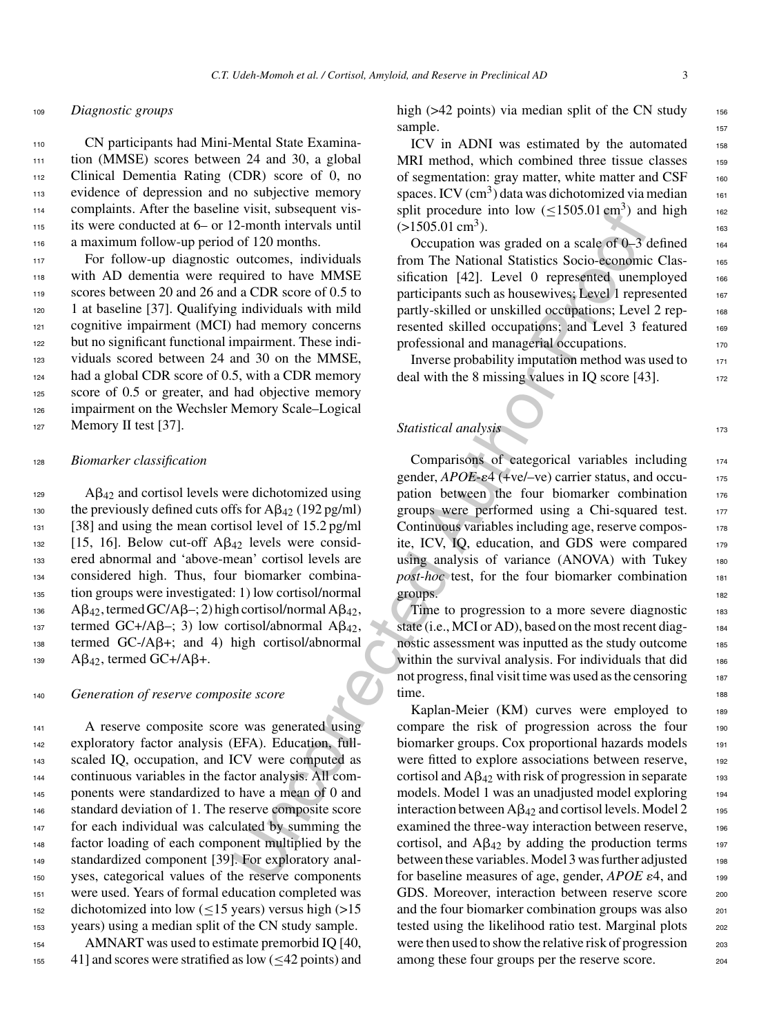#### <sup>109</sup> *Diagnostic groups*

 CN participants had Mini-Mental State Examina- tion (MMSE) scores between 24 and 30, a global Clinical Dementia Rating (CDR) score of 0, no evidence of depression and no subjective memory complaints. After the baseline visit, subsequent vis- its were conducted at 6– or 12-month intervals until a maximum follow-up period of 120 months.

 For follow-up diagnostic outcomes, individuals with AD dementia were required to have MMSE scores between 20 and 26 and a CDR score of 0.5 to 1 at baseline [37]. Qualifying individuals with mild cognitive impairment (MCI) had memory concerns but no significant functional impairment. These indi-123 viduals scored between 24 and 30 on the MMSE, had a global CDR score of 0.5, with a CDR memory score of 0.5 or greater, and had objective memory impairment on the Wechsler Memory Scale–Logical Memory II test [37].

#### <sup>128</sup> *Biomarker classification*

 $A\beta_{42}$  and cortisol levels were dichotomized using 130 the previously defined cuts offs for  $\text{A}\beta_{42}$  (192 pg/ml) [38] and using the mean cortisol level of 15.2 pg/ml [15, 16]. Below cut-off A $\beta_{42}$  levels were consid- ered abnormal and 'above-mean' cortisol levels are considered high. Thus, four biomarker combina- tion groups were investigated: 1) low cortisol/normal  $A\beta_{42}$ , termed GC/A $\beta$ –; 2) high cortisol/normal A $\beta_{42}$ , 137 termed GC+/A $\beta$ -; 3) low cortisol/abnormal A $\beta$ 42, 138 termed GC-/A $\beta$ +; and 4) high cortisol/abnormal  $A\beta_{42}$ , termed GC+/A $\beta$ +.

#### <sup>140</sup> *Generation of reserve composite score*

 A reserve composite score was generated using exploratory factor analysis (EFA). Education, full-143 scaled IQ, occupation, and ICV were computed as continuous variables in the factor analysis. All com- ponents were standardized to have a mean of 0 and 146 standard deviation of 1. The reserve composite score for each individual was calculated by summing the factor loading of each component multiplied by the standardized component [39]. For exploratory anal- yses, categorical values of the reserve components were used. Years of formal education completed was dichotomized into low (<15 years) versus high (>15 years) using a median split of the CN study sample.

<sup>154</sup> AMNART was used to estimate premorbid IQ [40, <sup>155</sup> 41] and scores were stratified as low (≤42 points) and high ( $>42$  points) via median split of the CN study 156 sample. 157

ICV in ADNI was estimated by the automated 158 MRI method, which combined three tissue classes 159 of segmentation: gray matter, white matter and CSF 160 spaces. ICV (cm<sup>3</sup>) data was dichotomized via median  $161$ split procedure into low  $(\leq 1505.01 \text{ cm}^3)$  and high 162  $(>1505.01 \text{ cm}^3)$ .

Occupation was graded on a scale of  $0-3$  defined  $164$ from The National Statistics Socio-economic Clas- <sup>165</sup> sification [42]. Level 0 represented unemployed 166 participants such as housewives; Level 1 represented 167 partly-skilled or unskilled occupations; Level 2 rep-<br>168 resented skilled occupations; and Level 3 featured 169 professional and managerial occupations.

Inverse probability imputation method was used to  $171$ deal with the 8 missing values in IQ score  $[43]$ .

# **Statistical analysis** 173

Comparisons of categorical variables including 174 gender,  $APOE - \varepsilon 4$  (+ve/–ve) carrier status, and occupation between the four biomarker combination 176 groups were performed using a Chi-squared test. 177 Continuous variables including age, reserve compos- <sup>178</sup> ite, ICV, IQ, education, and GDS were compared 179 using analysis of variance (ANOVA) with Tukey 180 *post-hoc* test, for the four biomarker combination 181 groups. 182

Time to progression to a more severe diagnostic 183 state (i.e., MCI or AD), based on the most recent diagnostic assessment was inputted as the study outcome within the survival analysis. For individuals that did 186 not progress, final visit time was used as the censoring 187 time.

e values and only experient values and on state of the control only ( $>12$  solution intervals and  $>2$  couplation was graded on a scale of 0-3 or and and time and a cDR solution was graded on a scale of 0-3 or and and ind Kaplan-Meier (KM) curves were employed to 189 compare the risk of progression across the four 190 biomarker groups. Cox proportional hazards models 191 were fitted to explore associations between reserve, 192 cortisol and  $\text{A}\beta_{42}$  with risk of progression in separate 193 models. Model 1 was an unadjusted model exploring 194 interaction between  $A\beta_{42}$  and cortisol levels. Model 2  $195$ examined the three-way interaction between reserve, 196 cortisol, and  $A\beta_{42}$  by adding the production terms 197 between these variables. Model 3 was further adjusted 198 for baseline measures of age, gender, *APOE*  $\varepsilon$ 4, and 199 GDS. Moreover, interaction between reserve score 200 and the four biomarker combination groups was also <sub>201</sub> tested using the likelihood ratio test. Marginal plots 202 were then used to show the relative risk of progression 203 among these four groups per the reserve score.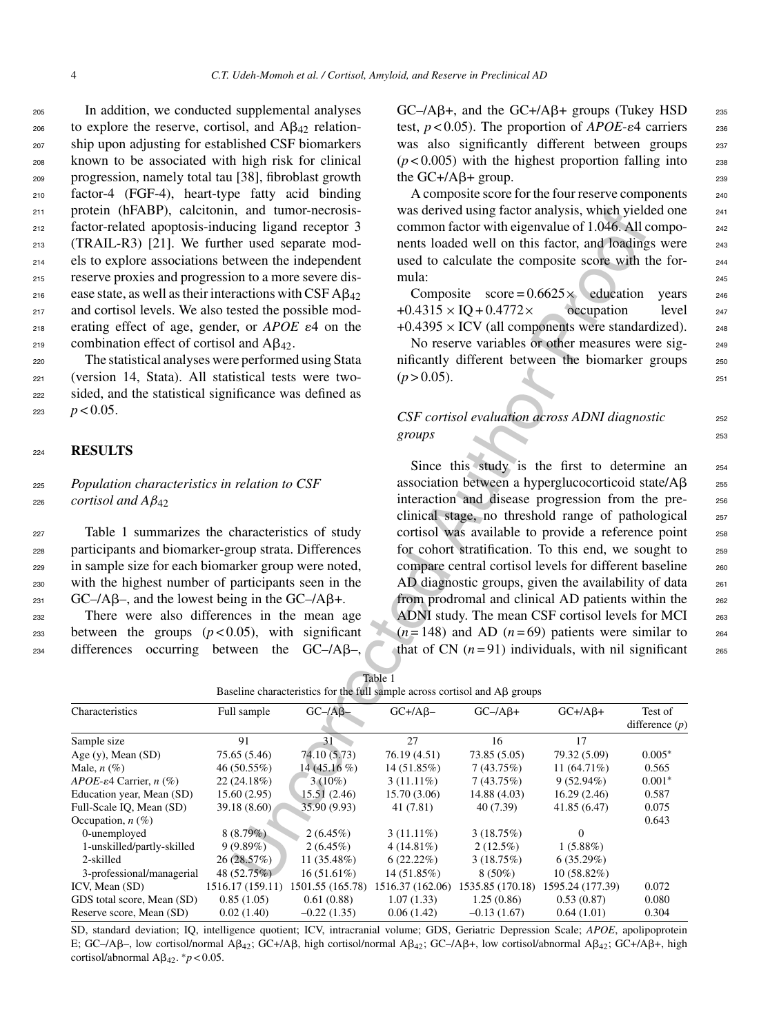In addition, we conducted supplemental analyses to explore the reserve, cortisol, and  $\text{A}\beta_{42}$  relation- ship upon adjusting for established CSF biomarkers known to be associated with high risk for clinical progression, namely total tau [38], fibroblast growth factor-4 (FGF-4), heart-type fatty acid binding protein (hFABP), calcitonin, and tumor-necrosis- factor-related apoptosis-inducing ligand receptor 3 (TRAIL-R3) [21]. We further used separate mod- els to explore associations between the independent reserve proxies and progression to a more severe dis-216 ease state, as well as their interactions with CSF  $\mathsf{A}\beta_{42}$  and cortisol levels. We also tested the possible mod- erating effect of age, gender, or *APOE*  $\varepsilon$ 4 on the 219 combination effect of cortisol and  $A\beta_{42}$ .

 The statistical analyses were performed using Stata (version 14, Stata). All statistical tests were two- sided, and the statistical significance was defined as  $p < 0.05$ .

#### <sup>224</sup> **RESULTS**

# <sup>225</sup> *Population characteristics in relation to CSF* <sup>226</sup> *cortisol and A*β<sup>42</sup>

 Table 1 summarizes the characteristics of study participants and biomarker-group strata. Differences in sample size for each biomarker group were noted, with the highest number of participants seen in the GC–/Aβ–, and the lowest being in the GC–/Aβ+.

<sup>232</sup> There were also differences in the mean age  $233$  between the groups  $(p<0.05)$ , with significant  $_{234}$  differences occurring between the GC-/A $\beta$ -,

 $GC$ -/A $\beta$ +, and the  $GC$ +/A $\beta$ + groups (Tukey HSD 235 test,  $p < 0.05$ ). The proportion of  $APOE - \varepsilon 4$  carriers 236 was also significantly different between groups 237  $(p<0.005)$  with the highest proportion falling into  $238$  $\text{the GC} + / \text{A}\beta + \text{group}.$  239

A composite score for the four reserve components 240 was derived using factor analysis, which yielded one <sub>241</sub> common factor with eigenvalue of 1.046. All compo- <sup>242</sup> nents loaded well on this factor, and loadings were 243 used to calculate the composite score with the for-<br>
<sub>244</sub> mula: 245

Composite score= $0.6625 \times$  education years 246<br>0.4315 × IQ + 0.4772  $\times$  occupation level 247  $+0.4315 \times IQ + 0.4772 \times$  occupation level 247  $+0.4395 \times$  ICV (all components were standardized). 248

No reserve variables or other measures were sig-<br><sub>249</sub> nificantly different between the biomarker groups 250  $(p > 0.05)$ .

*CSF cortisol evaluation across ADNI diagnostic* <sup>252</sup> groups 253

Since this study is the first to determine an 254 association between a hyperglucocorticoid state/ $\mathsf{A}\mathsf{B}$  255 interaction and disease progression from the pre- <sup>256</sup> clinical stage, no threshold range of pathological <sup>257</sup> cortisol was available to provide a reference point 258 for cohort stratification. To this end, we sought to  $259$ compare central cortisol levels for different baseline 260 AD diagnostic groups, given the availability of data 261 from prodromal and clinical AD patients within the 262 ADNI study. The mean CSF cortisol levels for MCI 263  $(n=148)$  and AD  $(n=69)$  patients were similar to  $264$ that of CN  $(n=91)$  individuals, with nil significant  $265$ 

| protein (hFABP), calcitonin, and fumor-necrosis-<br>factor-related apoptosis-inducing ligand receptor 3<br>(TRAIL-R3) [21]. We further used separate mod-<br>els to explore associations between the independent<br>reserve proxies and progression to a more severe dis-<br>ease state, as well as their interactions with CSF $\text{A}\beta_{42}$<br>and cortisol levels. We also tested the possible mod-<br>erating effect of age, gender, or $APOE$ $\varepsilon$ 4 on the<br>combination effect of cortisol and $A\beta_{42}$ .<br>The statistical analyses were performed using Stata<br>(version 14, Stata). All statistical tests were two-<br>sided, and the statistical significance was defined as<br>$p < 0.05$ .<br><b>RESULTS</b> | mula:<br>$(p > 0.05)$ .<br>groups | was derived using factor analysis, which yielded one<br>common factor with eigenvalue of 1.046. All compo-<br>nents loaded well on this factor, and loadings were<br>used to calculate the composite score with the for-<br>Composite $score = 0.6625 \times$ education<br>years<br>$+0.4315 \times IQ + 0.4772 \times$<br>occupation<br>level<br>$+0.4395 \times$ ICV (all components were standardized).<br>No reserve variables or other measures were sig-<br>nificantly different between the biomarker groups<br>CSF cortisol evaluation across ADNI diagnostic<br>Since this study is the first to determine an |                                                                            |                                                     |                                                        |                  |  |  |
|---------------------------------------------------------------------------------------------------------------------------------------------------------------------------------------------------------------------------------------------------------------------------------------------------------------------------------------------------------------------------------------------------------------------------------------------------------------------------------------------------------------------------------------------------------------------------------------------------------------------------------------------------------------------------------------------------------------------------------------------------|-----------------------------------|------------------------------------------------------------------------------------------------------------------------------------------------------------------------------------------------------------------------------------------------------------------------------------------------------------------------------------------------------------------------------------------------------------------------------------------------------------------------------------------------------------------------------------------------------------------------------------------------------------------------|----------------------------------------------------------------------------|-----------------------------------------------------|--------------------------------------------------------|------------------|--|--|
| Population characteristics in relation to CSF                                                                                                                                                                                                                                                                                                                                                                                                                                                                                                                                                                                                                                                                                                     |                                   |                                                                                                                                                                                                                                                                                                                                                                                                                                                                                                                                                                                                                        |                                                                            | association between a hyperglucocorticoid state/Aß  |                                                        |                  |  |  |
|                                                                                                                                                                                                                                                                                                                                                                                                                                                                                                                                                                                                                                                                                                                                                   |                                   |                                                                                                                                                                                                                                                                                                                                                                                                                                                                                                                                                                                                                        |                                                                            |                                                     |                                                        |                  |  |  |
| cortisol and $A\beta_{42}$                                                                                                                                                                                                                                                                                                                                                                                                                                                                                                                                                                                                                                                                                                                        |                                   | interaction and disease progression from the pre-<br>clinical stage, no threshold range of pathological                                                                                                                                                                                                                                                                                                                                                                                                                                                                                                                |                                                                            |                                                     |                                                        |                  |  |  |
|                                                                                                                                                                                                                                                                                                                                                                                                                                                                                                                                                                                                                                                                                                                                                   |                                   |                                                                                                                                                                                                                                                                                                                                                                                                                                                                                                                                                                                                                        |                                                                            |                                                     |                                                        |                  |  |  |
| Table 1 summarizes the characteristics of study                                                                                                                                                                                                                                                                                                                                                                                                                                                                                                                                                                                                                                                                                                   |                                   |                                                                                                                                                                                                                                                                                                                                                                                                                                                                                                                                                                                                                        |                                                                            | cortisol was available to provide a reference point |                                                        |                  |  |  |
| participants and biomarker-group strata. Differences                                                                                                                                                                                                                                                                                                                                                                                                                                                                                                                                                                                                                                                                                              |                                   |                                                                                                                                                                                                                                                                                                                                                                                                                                                                                                                                                                                                                        |                                                                            |                                                     | for cohort stratification. To this end, we sought to   |                  |  |  |
| in sample size for each biomarker group were noted,                                                                                                                                                                                                                                                                                                                                                                                                                                                                                                                                                                                                                                                                                               |                                   |                                                                                                                                                                                                                                                                                                                                                                                                                                                                                                                                                                                                                        |                                                                            |                                                     | compare central cortisol levels for different baseline |                  |  |  |
| with the highest number of participants seen in the                                                                                                                                                                                                                                                                                                                                                                                                                                                                                                                                                                                                                                                                                               |                                   |                                                                                                                                                                                                                                                                                                                                                                                                                                                                                                                                                                                                                        |                                                                            |                                                     | AD diagnostic groups, given the availability of data   |                  |  |  |
| $GC$ -/A $\beta$ -, and the lowest being in the $GC$ -/A $\beta$ +.                                                                                                                                                                                                                                                                                                                                                                                                                                                                                                                                                                                                                                                                               |                                   |                                                                                                                                                                                                                                                                                                                                                                                                                                                                                                                                                                                                                        |                                                                            |                                                     | from prodromal and clinical AD patients within the     |                  |  |  |
| There were also differences in the mean age                                                                                                                                                                                                                                                                                                                                                                                                                                                                                                                                                                                                                                                                                                       |                                   |                                                                                                                                                                                                                                                                                                                                                                                                                                                                                                                                                                                                                        |                                                                            |                                                     | ADNI study. The mean CSF cortisol levels for MCI       |                  |  |  |
|                                                                                                                                                                                                                                                                                                                                                                                                                                                                                                                                                                                                                                                                                                                                                   |                                   |                                                                                                                                                                                                                                                                                                                                                                                                                                                                                                                                                                                                                        |                                                                            |                                                     |                                                        |                  |  |  |
| between the groups $(p<0.05)$ , with significant                                                                                                                                                                                                                                                                                                                                                                                                                                                                                                                                                                                                                                                                                                  |                                   |                                                                                                                                                                                                                                                                                                                                                                                                                                                                                                                                                                                                                        |                                                                            |                                                     | $(n=148)$ and AD $(n=69)$ patients were similar to     |                  |  |  |
| differences occurring between the                                                                                                                                                                                                                                                                                                                                                                                                                                                                                                                                                                                                                                                                                                                 |                                   | $GC-\overline{AB}$ ,                                                                                                                                                                                                                                                                                                                                                                                                                                                                                                                                                                                                   |                                                                            |                                                     | that of CN $(n=91)$ individuals, with nil significant  |                  |  |  |
|                                                                                                                                                                                                                                                                                                                                                                                                                                                                                                                                                                                                                                                                                                                                                   |                                   |                                                                                                                                                                                                                                                                                                                                                                                                                                                                                                                                                                                                                        |                                                                            |                                                     |                                                        |                  |  |  |
|                                                                                                                                                                                                                                                                                                                                                                                                                                                                                                                                                                                                                                                                                                                                                   |                                   |                                                                                                                                                                                                                                                                                                                                                                                                                                                                                                                                                                                                                        | Table 1                                                                    |                                                     |                                                        |                  |  |  |
|                                                                                                                                                                                                                                                                                                                                                                                                                                                                                                                                                                                                                                                                                                                                                   |                                   |                                                                                                                                                                                                                                                                                                                                                                                                                                                                                                                                                                                                                        | Baseline characteristics for the full sample across cortisol and Aß groups |                                                     |                                                        |                  |  |  |
| Characteristics                                                                                                                                                                                                                                                                                                                                                                                                                                                                                                                                                                                                                                                                                                                                   | Full sample                       | $G C - /A \beta -$                                                                                                                                                                                                                                                                                                                                                                                                                                                                                                                                                                                                     | $G C + /A \beta -$                                                         | $GC - / A\beta +$                                   | $G C + /A \beta +$                                     | Test of          |  |  |
|                                                                                                                                                                                                                                                                                                                                                                                                                                                                                                                                                                                                                                                                                                                                                   |                                   |                                                                                                                                                                                                                                                                                                                                                                                                                                                                                                                                                                                                                        |                                                                            |                                                     |                                                        | difference $(p)$ |  |  |
| Sample size                                                                                                                                                                                                                                                                                                                                                                                                                                                                                                                                                                                                                                                                                                                                       | 91                                | 31                                                                                                                                                                                                                                                                                                                                                                                                                                                                                                                                                                                                                     | 27                                                                         | 16                                                  | 17                                                     |                  |  |  |
| Age (y), Mean (SD)                                                                                                                                                                                                                                                                                                                                                                                                                                                                                                                                                                                                                                                                                                                                | 75.65 (5.46)                      | 74.10 (5.73)                                                                                                                                                                                                                                                                                                                                                                                                                                                                                                                                                                                                           | 76.19 (4.51)                                                               | 73.85 (5.05)                                        | 79.32 (5.09)                                           | $0.005*$         |  |  |
| Male, $n \ (\%)$                                                                                                                                                                                                                                                                                                                                                                                                                                                                                                                                                                                                                                                                                                                                  | 46 (50.55%)                       | 14 (45.16 %)                                                                                                                                                                                                                                                                                                                                                                                                                                                                                                                                                                                                           | 14 (51.85%)                                                                | 7(43.75%)                                           | 11 (64.71%)                                            | 0.565            |  |  |
| $APOE$ - $\varepsilon$ 4 Carrier, n (%)                                                                                                                                                                                                                                                                                                                                                                                                                                                                                                                                                                                                                                                                                                           | 22 (24.18%)                       | $3(10\%)$                                                                                                                                                                                                                                                                                                                                                                                                                                                                                                                                                                                                              | $3(11.11\%)$                                                               | 7(43.75%)                                           | 9(52.94%)                                              | $0.001*$         |  |  |
| Education year, Mean (SD)                                                                                                                                                                                                                                                                                                                                                                                                                                                                                                                                                                                                                                                                                                                         | 15.60(2.95)                       | 15.51 (2.46)                                                                                                                                                                                                                                                                                                                                                                                                                                                                                                                                                                                                           | 15.70 (3.06)                                                               | 14.88 (4.03)<br>16.29 (2.46)                        |                                                        | 0.587            |  |  |
| Full-Scale IQ, Mean (SD)                                                                                                                                                                                                                                                                                                                                                                                                                                                                                                                                                                                                                                                                                                                          | 39.18 (8.60)                      | 35.90 (9.93)                                                                                                                                                                                                                                                                                                                                                                                                                                                                                                                                                                                                           | 41 (7.81)                                                                  | 40 (7.39)                                           | 41.85 (6.47)                                           | 0.075            |  |  |
| Occupation, $n(\%)$                                                                                                                                                                                                                                                                                                                                                                                                                                                                                                                                                                                                                                                                                                                               |                                   |                                                                                                                                                                                                                                                                                                                                                                                                                                                                                                                                                                                                                        |                                                                            |                                                     |                                                        | 0.643            |  |  |
| 0-unemployed                                                                                                                                                                                                                                                                                                                                                                                                                                                                                                                                                                                                                                                                                                                                      | 8(8.79%)                          | $2(6.45\%)$                                                                                                                                                                                                                                                                                                                                                                                                                                                                                                                                                                                                            | $3(11.11\%)$                                                               | 3(18.75%)                                           | $\boldsymbol{0}$                                       |                  |  |  |
| 1-unskilled/partly-skilled                                                                                                                                                                                                                                                                                                                                                                                                                                                                                                                                                                                                                                                                                                                        | 9(9.89%)                          | 2(6.45%)                                                                                                                                                                                                                                                                                                                                                                                                                                                                                                                                                                                                               | $4(14.81\%)$                                                               | $2(12.5\%)$                                         | 1(5.88%)                                               |                  |  |  |
| 2-skilled                                                                                                                                                                                                                                                                                                                                                                                                                                                                                                                                                                                                                                                                                                                                         | 26 (28.57%)                       | 11 (35.48%)                                                                                                                                                                                                                                                                                                                                                                                                                                                                                                                                                                                                            | 6(22.22%)                                                                  | 3(18.75%)                                           | 6(35.29%)                                              |                  |  |  |
| 3-professional/managerial                                                                                                                                                                                                                                                                                                                                                                                                                                                                                                                                                                                                                                                                                                                         | 48 (52.75%)                       | 16(51.61%)                                                                                                                                                                                                                                                                                                                                                                                                                                                                                                                                                                                                             | 14 (51.85%)                                                                | $8(50\%)$                                           | 10 (58.82%)                                            |                  |  |  |
| ICV, Mean (SD)                                                                                                                                                                                                                                                                                                                                                                                                                                                                                                                                                                                                                                                                                                                                    | 1516.17 (159.11) 1501.55 (165.78) |                                                                                                                                                                                                                                                                                                                                                                                                                                                                                                                                                                                                                        | 1516.37 (162.06) 1535.85 (170.18)                                          |                                                     | 1595.24 (177.39)                                       | 0.072            |  |  |
| GDS total score, Mean (SD)                                                                                                                                                                                                                                                                                                                                                                                                                                                                                                                                                                                                                                                                                                                        | 0.85(1.05)                        | 0.61(0.88)                                                                                                                                                                                                                                                                                                                                                                                                                                                                                                                                                                                                             | 1.07(1.33)                                                                 | 1.25(0.86)                                          | 0.53(0.87)                                             | 0.080            |  |  |
| Reserve score, Mean (SD)                                                                                                                                                                                                                                                                                                                                                                                                                                                                                                                                                                                                                                                                                                                          | 0.02(1.40)                        | $-0.22(1.35)$                                                                                                                                                                                                                                                                                                                                                                                                                                                                                                                                                                                                          | 0.06(1.42)                                                                 | $-0.13(1.67)$                                       | 0.64(1.01)                                             | 0.304            |  |  |

| Table 1                                                                    |  |
|----------------------------------------------------------------------------|--|
| Baseline characteristics for the full sample across cortisol and AB groups |  |

SD, standard deviation; IQ, intelligence quotient; ICV, intracranial volume; GDS, Geriatric Depression Scale; *APOE*, apolipoprotein E; GC-/A $\beta$ -, low cortisol/normal A $\beta_{42}$ ; GC+/A $\beta$ , high cortisol/normal A $\beta_{42}$ ; GC-/A $\beta$ +, low cortisol/abnormal A $\beta_{42}$ ; GC+/A $\beta$ +, high cortisol/abnormal  $A\beta_{42}$ . *\*p* < 0.05.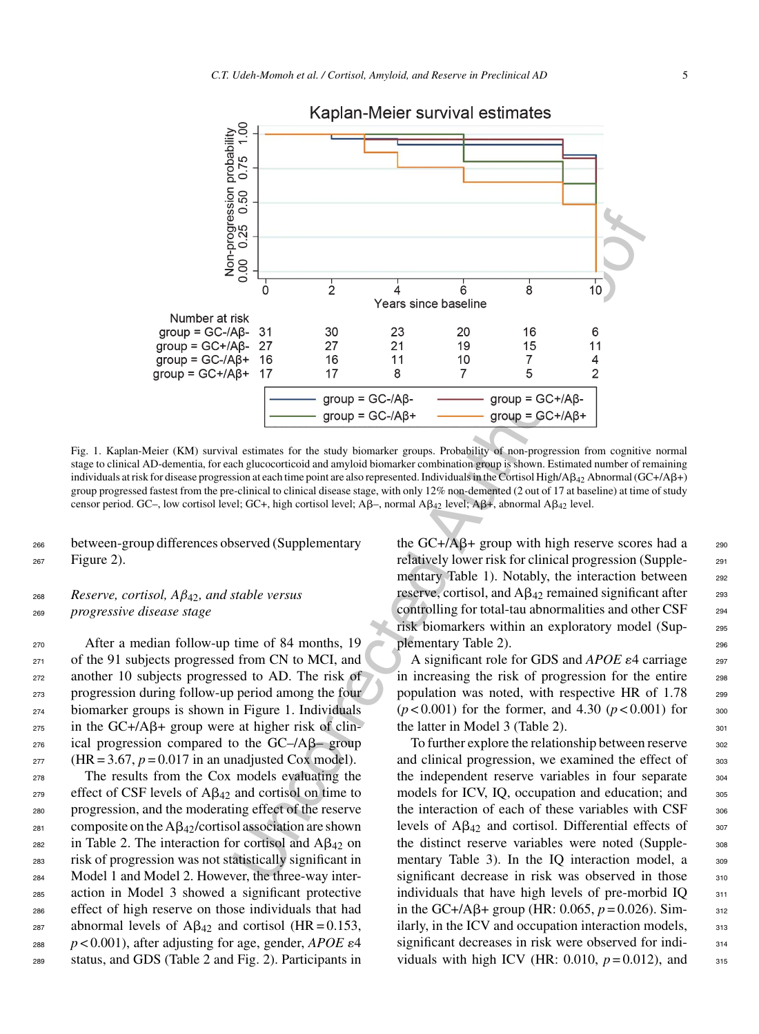

Fig. 1. Kaplan-Meier (KM) survival estimates for the study biomarker groups. Probability of non-progression from cognitive normal stage to clinical AD-dementia, for each glucocorticoid and amyloid biomarker combination group is shown. Estimated number of remaining individuals at risk for disease progression at each time point are also represented. Individuals in the Cortisol High/A $\beta_{42}$  Abnormal (GC+/A $\beta$ +) group progressed fastest from the pre-clinical to clinical disease stage, with only 12% non-demented (2 out of 17 at baseline) at time of study censor period. GC–, low cortisol level; GC+, high cortisol level;  $A\beta$ –, normal  $A\beta_{42}$  level;  $A\beta$ +, abnormal  $A\beta_{42}$  level.

<sup>266</sup> between-group differences observed (Supplementary <sup>267</sup> Figure 2).

# <sup>268</sup> *Reserve, cortisol, A*β42*, and stable versus* <sup>269</sup> *progressive disease stage*

 After a median follow-up time of 84 months, 19 of the 91 subjects progressed from CN to MCI, and another 10 subjects progressed to AD. The risk of progression during follow-up period among the four biomarker groups is shown in Figure 1. Individuals in the GC+/A $\beta$ + group were at higher risk of clin- ical progression compared to the GC-/Aβ-group (HR = 3.67,  $p = 0.017$  in an unadjusted Cox model).

 The results from the Cox models evaluating the effect of CSF levels of  $A\beta_{42}$  and cortisol on time to progression, and the moderating effect of the reserve composite on the A $\beta_{42}/$ cortisol association are shown 282 in Table 2. The interaction for cortisol and  $\text{A}\beta_{42}$  on risk of progression was not statistically significant in Model 1 and Model 2. However, the three-way inter- action in Model 3 showed a significant protective effect of high reserve on those individuals that had abnormal levels of  $A\beta_{42}$  and cortisol (HR = 0.153,  $p$  < 0.001), after adjusting for age, gender, *APOE*  $\varepsilon$ 4 status, and GDS (Table 2 and Fig. 2). Participants in

the GC+/A $\beta$ + group with high reserve scores had a 290 relatively lower risk for clinical progression (Supple- <sup>291</sup> mentary Table 1). Notably, the interaction between 292 reserve, cortisol, and  $A\beta_{42}$  remained significant after  $\qquad$  293 controlling for total-tau abnormalities and other CSF <sup>294</sup> risk biomarkers within an exploratory model (Sup- <sup>295</sup> plementary Table 2). 296

A significant role for GDS and *APOE*  $\varepsilon$ 4 carriage 297 in increasing the risk of progression for the entire 298 population was noted, with respective HR of 1.78 299  $(p < 0.001)$  for the former, and 4.30  $(p < 0.001)$  for 300 the latter in Model 3 (Table 2).  $301$ 

To further explore the relationship between reserve  $302$ and clinical progression, we examined the effect of 303 the independent reserve variables in four separate 304 models for ICV, IQ, occupation and education; and 305 the interaction of each of these variables with CSF 306 levels of  $A\beta_{42}$  and cortisol. Differential effects of  $\qquad$  307 the distinct reserve variables were noted (Supple- 308 mentary Table 3). In the IQ interaction model,  $a$  309 significant decrease in risk was observed in those 310 individuals that have high levels of pre-morbid  $IQ_{311}$ in the GC+/A $\beta$ + group (HR: 0.065,  $p = 0.026$ ). Sim-<br>312 ilarly, in the ICV and occupation interaction models,  $313$ significant decreases in risk were observed for indi-<br>314 viduals with high ICV (HR:  $0.010$ ,  $p = 0.012$ ), and  $315$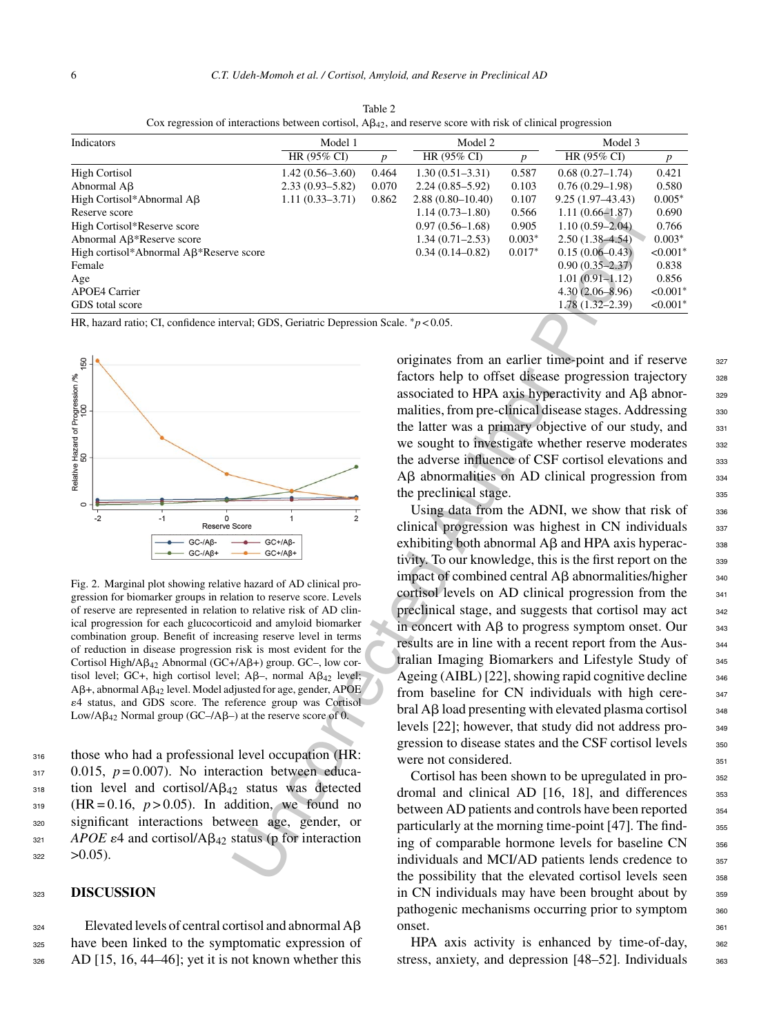| Indicators                                                                                | Model 1             |       | Model 2              |          | Model 3             |                        |
|-------------------------------------------------------------------------------------------|---------------------|-------|----------------------|----------|---------------------|------------------------|
|                                                                                           | HR (95% CI)         | p     | HR (95% CI)          |          | HR (95% CI)         |                        |
| High Cortisol                                                                             | $1.42(0.56-3.60)$   | 0.464 | $1.30(0.51 - 3.31)$  | 0.587    | $0.68(0.27-1.74)$   | 0.421                  |
| Abnormal $\overline{AB}$                                                                  | $2.33(0.93 - 5.82)$ | 0.070 | $2.24(0.85-5.92)$    | 0.103    | $0.76(0.29-1.98)$   | 0.580                  |
| High Cortisol*Abnormal AB                                                                 | $1.11(0.33 - 3.71)$ | 0.862 | $2.88(0.80 - 10.40)$ | 0.107    | $9.25(1.97-43.43)$  | $0.005*$               |
| Reserve score                                                                             |                     |       | $1.14(0.73 - 1.80)$  | 0.566    | $1.11(0.66 - 1.87)$ | 0.690                  |
| High Cortisol*Reserve score                                                               |                     |       | $0.97(0.56 - 1.68)$  | 0.905    | $1.10(0.59 - 2.04)$ | 0.766                  |
| Abnormal $AB*$ Reserve score                                                              |                     |       | $1.34(0.71 - 2.53)$  | $0.003*$ | $2.50(1.38 - 4.54)$ | $0.003*$               |
| High cortisol*Abnormal AB*Reserve score                                                   |                     |       | $0.34(0.14 - 0.82)$  | $0.017*$ | $0.15(0.06 - 0.43)$ | $< 0.001*$             |
| Female                                                                                    |                     |       |                      |          | $0.90(0.35 - 2.37)$ | 0.838                  |
| Age                                                                                       |                     |       |                      |          | $1.01(0.91 - 1.12)$ | 0.856                  |
| <b>APOE4 Carrier</b>                                                                      |                     |       |                      |          | $4.30(2.06 - 8.96)$ | $< 0.001$ <sup>*</sup> |
| GDS total score                                                                           |                     |       |                      |          | $1.78(1.32 - 2.39)$ | $< 0.001*$             |
| $HD$ hegard ratio: CL confidence interval: CDS, Corietria Depression Seele $*_{B}$ < 0.05 |                     |       |                      |          |                     |                        |

Table 2 Cox regression of interactions between cortisol,  $A\beta_{42}$ , and reserve score with risk of clinical progression

HR, hazard ratio; CI, confidence interval; GDS, Geriatric Depression Scale. ∗*p* < 0.05.



Fig. 2. Marginal plot showing relative hazard of AD clinical progression for biomarker groups in relation to reserve score. Levels of reserve are represented in relation to relative risk of AD clinical progression for each glucocorticoid and amyloid biomarker combination group. Benefit of increasing reserve level in terms of reduction in disease progression risk is most evident for the Cortisol High/Aβ<sub>42</sub> Abnormal (GC+/Aβ+) group. GC-, low cortisol level; GC+, high cortisol level;  $\mathsf{A}\mathsf{B}$ -, normal  $\mathsf{A}\mathsf{B}_{42}$  level; Aβ+, abnormal Aβ<sub>42</sub> level. Model adjusted for age, gender, APOE 4 status, and GDS score. The reference group was Cortisol Low/ $A\beta_{42}$  Normal group (GC-/ $A\beta$ -) at the reserve score of 0.

 those who had a professional level occupation (HR: 0.015,  $p = 0.007$ ). No interaction between educa- tion level and cortisol/ $AB_{42}$  status was detected (HR = 0.16,  $p > 0.05$ ). In addition, we found no significant interactions between age, gender, or  $APOE$   $\varepsilon$ 4 and cortisol/A $\beta$ <sub>42</sub> status (p for interaction  $322 > 0.05$ .

## <sup>323</sup> **DISCUSSION**

 $\mathbb{R}^2$ <sup>324</sup> Elevated levels of central cortisol and abnormal A $\beta$ <sup>325</sup> have been linked to the symptomatic expression of  $326$  AD [15, 16, 44–46]; yet it is not known whether this

originates from an earlier time-point and if reserve 327 factors help to offset disease progression trajectory 328 associated to HPA axis hyperactivity and  $\overrightarrow{AB}$  abnor-<br>329 malities, from pre-clinical disease stages. Addressing 330 the latter was a primary objective of our study, and 331 we sought to investigate whether reserve moderates 332 the adverse influence of CSF cortisol elevations and 333  $\text{A}\beta$  abnormalities on AD clinical progression from  $\frac{334}{2}$ the preclinical stage. 335

1.40 (0.64-1 and 1.40 (1.741-1 and 2.741-1 and 2.741-1 and 2.741-1 and 2.741-1 and 2.741-2531<br>
Uncorrected Author Proof (1.541-2.82)<br>
Uncorrected Author Proof (1.541-2.82)<br>
Uncorrected Author Proof (1.542-2.39)<br>
Uncorrect Using data from the ADNI, we show that risk of  $336$  $clinical progression was highest in CN individuals  $337$$ exhibiting both abnormal  $\overrightarrow{AB}$  and HPA axis hyperac- 338 tivity. To our knowledge, this is the first report on the 339 impact of combined central  $\overrightarrow{AB}$  abnormalities/higher  $\overrightarrow{340}$ cortisol levels on AD clinical progression from the  $_{341}$ preclinical stage, and suggests that cortisol may act 342 in concert with  $\text{A}\beta$  to progress symptom onset. Our  $\qquad$  343 results are in line with a recent report from the Aus-<br>344 tralian Imaging Biomarkers and Lifestyle Study of 345 Ageing (AIBL) [22], showing rapid cognitive decline  $_{346}$ from baseline for CN individuals with high cere- <sup>347</sup> bral  $\text{A}\beta$  load presenting with elevated plasma cortisol  $\qquad$  348 levels [22]; however, that study did not address progression to disease states and the CSF cortisol levels  $350$ were not considered. 351

Cortisol has been shown to be upregulated in pro-<br><sub>352</sub> dromal and clinical AD  $[16, 18]$ , and differences  $353$ between AD patients and controls have been reported <sub>354</sub> particularly at the morning time-point [47]. The finding of comparable hormone levels for baseline CN 356 individuals and MCI/AD patients lends credence to 357 the possibility that the elevated cortisol levels seen 358 in CN individuals may have been brought about by 359 pathogenic mechanisms occurring prior to symptom 360 onset. 361

HPA axis activity is enhanced by time-of-day, 362 stress, anxiety, and depression  $[48-52]$ . Individuals  $363$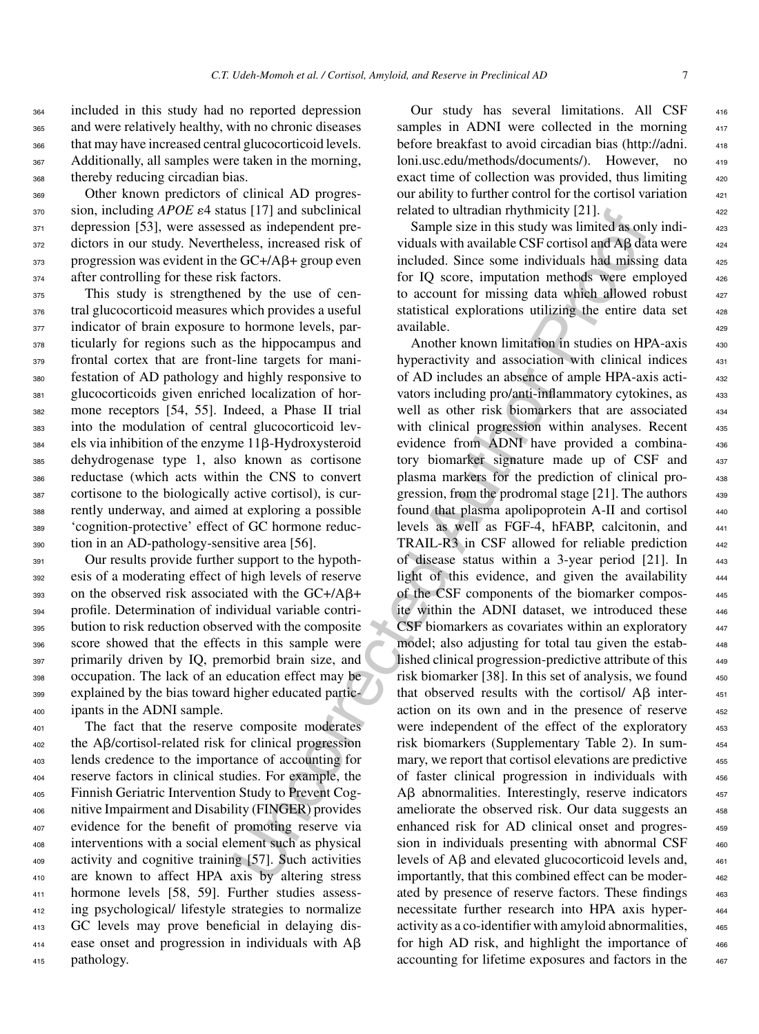included in this study had no reported depression and were relatively healthy, with no chronic diseases that may have increased central glucocorticoid levels. Additionally, all samples were taken in the morning, thereby reducing circadian bias.

 Other known predictors of clinical AD progres- sion, including *APOE*  $\varepsilon$ 4 status [17] and subclinical depression [53], were assessed as independent pre- dictors in our study. Nevertheless, increased risk of progression was evident in the GC+/A $\beta$ + group even after controlling for these risk factors.

 This study is strengthened by the use of cen- tral glucocorticoid measures which provides a useful 377 indicator of brain exposure to hormone levels, par- ticularly for regions such as the hippocampus and frontal cortex that are front-line targets for mani- festation of AD pathology and highly responsive to glucocorticoids given enriched localization of hor- mone receptors [54, 55]. Indeed, a Phase II trial into the modulation of central glucocorticoid lev- $_{384}$  els via inhibition of the enzyme  $11\beta$ -Hydroxysteroid dehydrogenase type 1, also known as cortisone reductase (which acts within the CNS to convert cortisone to the biologically active cortisol), is cur- rently underway, and aimed at exploring a possible 'cognition-protective' effect of GC hormone reduc-tion in an AD-pathology-sensitive area [56].

391 Our results provide further support to the hypoth- esis of a moderating effect of high levels of reserve 393 on the observed risk associated with the  $GC + /A\beta +$  profile. Determination of individual variable contri- bution to risk reduction observed with the composite score showed that the effects in this sample were primarily driven by IQ, premorbid brain size, and occupation. The lack of an education effect may be explained by the bias toward higher educated partic-ipants in the ADNI sample.

 The fact that the reserve composite moderates the A $\beta$ /cortisol-related risk for clinical progression lends credence to the importance of accounting for reserve factors in clinical studies. For example, the Finnish Geriatric Intervention Study to Prevent Cog- nitive Impairment and Disability (FINGER) provides evidence for the benefit of promoting reserve via interventions with a social element such as physical activity and cognitive training [57]. Such activities are known to affect HPA axis by altering stress hormone levels [58, 59]. Further studies assess- ing psychological/ lifestyle strategies to normalize GC levels may prove beneficial in delaying dis- ease onset and progression in individuals with A $\beta$ pathology.

Our study has several limitations. All CSF <sup>416</sup> samples in ADNI were collected in the morning before breakfast to avoid circadian bias ([http://adni.](http://adni.loni.usc.edu/methods/documents/) <sup>418</sup> loni.usc.edu/methods/documents/). However, no 419 exact time of collection was provided, thus limiting our ability to further control for the cortisol variation related to ultradian rhythmicity  $[21]$ .

Sample size in this study was limited as only individuals with available CSF cortisol and  $\overrightarrow{AB}$  data were  $424$ included. Since some individuals had missing data 425 for IQ score, imputation methods were employed to account for missing data which allowed robust 427 statistical explorations utilizing the entire data set available. 429

It |/1 and subcunneal related to ultradian flytmenty| 1211.<br>
and general car and pendent pre-<br>
and as independent pre-<br>
and as independent pre-<br>
and as independent pre-<br>
and as independent pre-<br>
and included Since some in Another known limitation in studies on HPA-axis 430 hyperactivity and association with clinical indices of AD includes an absence of ample HPA-axis acti- <sup>432</sup> vators including pro/anti-inflammatory cytokines, as well as other risk biomarkers that are associated 434 with clinical progression within analyses. Recent 435 evidence from ADNI have provided a combina- <sup>436</sup> tory biomarker signature made up of CSF and 437 plasma markers for the prediction of clinical pro- <sup>438</sup> gression, from the prodromal stage  $[21]$ . The authors  $439$ found that plasma apolipoprotein A-II and cortisol 440 levels as well as FGF-4, hFABP, calcitonin, and TRAIL-R3 in CSF allowed for reliable prediction 442 of disease status within a 3-year period [21]. In <sup>443</sup> light of this evidence, and given the availability 444 of the CSF components of the biomarker compos- <sup>445</sup> ite within the ADNI dataset, we introduced these  $_{446}$ CSF biomarkers as covariates within an exploratory model; also adjusting for total tau given the estab lished clinical progression-predictive attribute of this 449 risk biomarker [38]. In this set of analysis, we found that observed results with the cortisol/  $\mathbf{A}\boldsymbol{\beta}$  interaction on its own and in the presence of reserve 452 were independent of the effect of the exploratory 453 risk biomarkers (Supplementary Table 2). In sum- <sup>454</sup> mary, we report that cortisol elevations are predictive of faster clinical progression in individuals with <sup>456</sup>  $\text{A}\beta$  abnormalities. Interestingly, reserve indicators  $\text{A5}$ ameliorate the observed risk. Our data suggests an enhanced risk for AD clinical onset and progression in individuals presenting with abnormal CSF 460 levels of  $\mathbf{A}\beta$  and elevated glucocorticoid levels and,  $\qquad \qquad \text{461}$ importantly, that this combined effect can be moder- <sup>462</sup> ated by presence of reserve factors. These findings 463 necessitate further research into HPA axis hyper- <sup>464</sup> activity as a co-identifier with amyloid abnormalities, for high AD risk, and highlight the importance of accounting for lifetime exposures and factors in the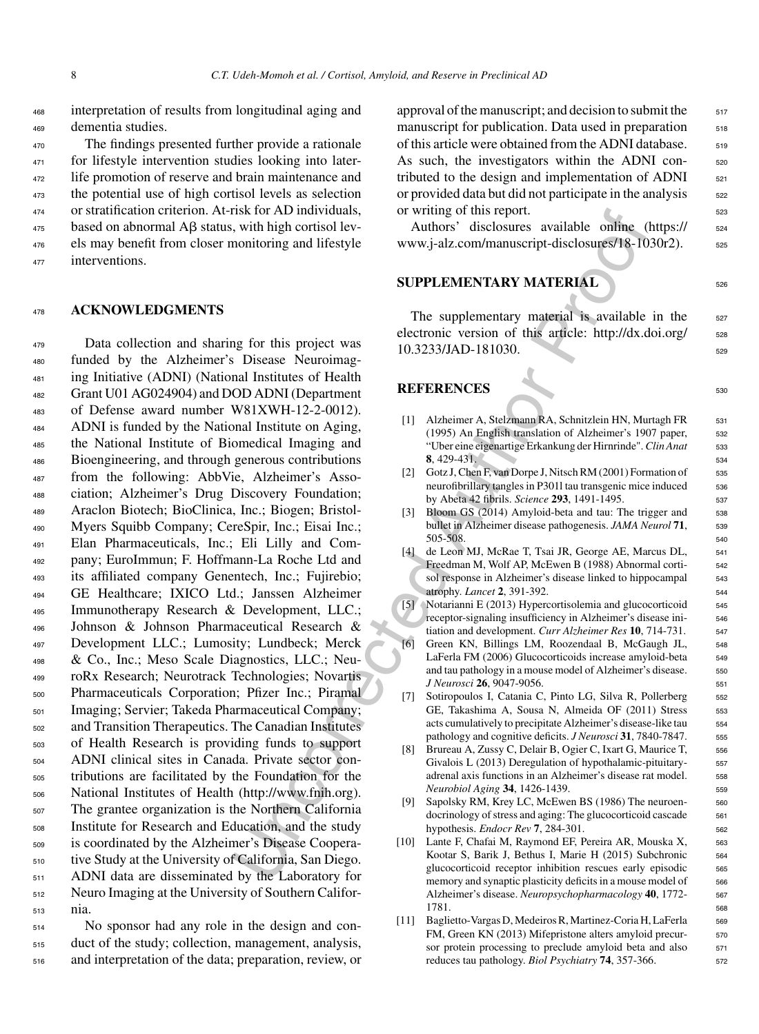<sup>468</sup> interpretation of results from longitudinal aging and <sup>469</sup> dementia studies.

 The findings presented further provide a rationale for lifestyle intervention studies looking into later- life promotion of reserve and brain maintenance and the potential use of high cortisol levels as selection or stratification criterion. At-risk for AD individuals, based on abnormal A $\beta$  status, with high cortisol lev- els may benefit from closer monitoring and lifestyle interventions.

## <sup>478</sup> **ACKNOWLEDGMENTS**

rsk for AD Industrials, or withing of this report.<br>
in sin[c](http://www.fnih.org)e the main and the spectrom and the state of the spectrom and infestigate the spectrom of this article: http://dx.<br>
(a, with high corrisol lever and institute of Data collection and sharing for this project was funded by the Alzheimer's Disease Neuroimag- ing Initiative (ADNI) (National Institutes of Health Grant U01 AG024904) and DOD ADNI (Department of Defense award number W81XWH-12-2-0012). ADNI is funded by the National Institute on Aging, the National Institute of Biomedical Imaging and Bioengineering, and through generous contributions from the following: AbbVie, Alzheimer's Asso- ciation; Alzheimer's Drug Discovery Foundation; Araclon Biotech; BioClinica, Inc.; Biogen; Bristol- Myers Squibb Company; CereSpir, Inc.; Eisai Inc.; Elan Pharmaceuticals, Inc.; Eli Lilly and Com- pany; EuroImmun; F. Hoffmann-La Roche Ltd and its affiliated company Genentech, Inc.; Fujirebio; GE Healthcare; IXICO Ltd.; Janssen Alzheimer Immunotherapy Research & Development, LLC.; Johnson & Johnson Pharmaceutical Research & Development LLC.; Lumosity; Lundbeck; Merck & Co., Inc.; Meso Scale Diagnostics, LLC.; Neu- roRx Research; Neurotrack Technologies; Novartis Pharmaceuticals Corporation; Pfizer Inc.; Piramal Imaging; Servier; Takeda Pharmaceutical Company; and Transition Therapeutics. The Canadian Institutes of Health Research is providing funds to support ADNI clinical sites in Canada. Private sector con- tributions are facilitated by the Foundation for the National Institutes of Health (http://www.fnih.org). The grantee organization is the Northern California Institute for Research and Education, and the study is coordinated by the Alzheimer's Disease Coopera- tive Study at the University of California, San Diego. ADNI data are disseminated by the Laboratory for Neuro Imaging at the University of Southern Califor-<sup>513</sup> nia.

<sup>514</sup> No sponsor had any role in the design and con-<sup>515</sup> duct of the study; collection, management, analysis, <sup>516</sup> and interpretation of the data; preparation, review, or approval of the manuscript; and decision to submit the  $\frac{517}{20}$ manuscript for publication. Data used in preparation  $\frac{518}{2}$ of this article were obtained from the ADNI database.  $\frac{519}{2}$ As such, the investigators within the ADNI contributed to the design and implementation of  $ADNI$ <sub>521</sub> or provided data but did not participate in the analysis <sub>522</sub> or writing of this report.

Authors' disclosures available online [\(https://](https://www.j-alz.com/manuscript-disclosures/18-1030r2) <sub>524</sub> www.j-alz.com/manuscript-disclosures/18-1030r2).  $525$ 

## **SUPPLEMENTARY MATERIAL** <sup>526</sup>

The supplementary material is available in the  $527$ electronic version of this article: [http://dx.doi.org/](http://dx.doi.org/10.3233/JAD-181030) 528 10.3233/JAD-181030. 529

## **REFERENCES** 530

- [1] Alzheimer A, Stelzmann RA, Schnitzlein HN, Murtagh FR 531 (1995) An English translation of Alzheimer's 1907 paper, saz "Uber eine eigenartige Erkankung der Hirnrinde".*Clin Anat* <sup>533</sup> **8**, 429-431. <sup>534</sup>
- [2] Gotz J, Chen F, van Dorpe J, Nitsch RM (2001) Formation of 535 neurofibrillary tangles in P3011 tau transgenic mice induced 536 by Abeta 42 fibrils. *Science* **293**, 1491-1495. <sup>537</sup>
- [3] Bloom GS (2014) Amyloid-beta and tau: The trigger and 538 bullet in Alzheimer disease pathogenesis. *JAMA Neurol* 71, 539 505-508. 540
- [4] de Leon MJ, McRae T, Tsai JR, George AE, Marcus DL, 541 Freedman M, Wolf AP, McEwen B (1988) Abnormal corti- <sup>542</sup> sol response in Alzheimer's disease linked to hippocampal 543 atrophy. *Lancet* **2**, 391-392. <sup>544</sup>
- [5] Notarianni E (2013) Hypercortisolemia and glucocorticoid <sup>545</sup> receptor-signaling insufficiency in Alzheimer's disease ini- <sup>546</sup> tiation and development. *Curr Alzheimer Res* **10**, 714-731. <sup>547</sup>
- [6] Green KN, Billings LM, Roozendaal B, McGaugh JL, 548 LaFerla FM (2006) Glucocorticoids increase amyloid-beta 549 and tau pathology in a mouse model of Alzheimer's disease.  $550$ *J Neurosci* **26**, 9047-9056. <sup>551</sup>
- [7] Sotiropoulos I, Catania C, Pinto LG, Silva R, Pollerberg 552 GE, Takashima A, Sousa N, Almeida OF (2011) Stress 553 acts cumulatively to precipitate Alzheimer's disease-like tau <sup>554</sup> pathology and cognitive deficits. *J Neurosci* **31**, 7840-7847. <sup>555</sup>
- [8] Brureau A, Zussy C, Delair B, Ogier C, Ixart G, Maurice T, 556 Givalois L (2013) Deregulation of hypothalamic-pituitary-<br>557 adrenal axis functions in an Alzheimer's disease rat model.  $\qquad$  558 *Neurobiol Aging* **34**, 1426-1439. 559
- [9] Sapolsky RM, Krey LC, McEwen BS (1986) The neuroen- 560 docrinology of stress and aging: The glucocorticoid cascade 561 hypothesis. *Endocr Rev* **7**, 284-301. <sup>562</sup>
- [10] Lante F, Chafai M, Raymond EF, Pereira AR, Mouska X, 563 Kootar S, Barik J, Bethus I, Marie H (2015) Subchronic 564 glucocorticoid receptor inhibition rescues early episodic 565 memory and synaptic plasticity deficits in a mouse model of 566 Alzheimer's disease. *Neuropsychopharmacology* **40**, 1772- <sup>567</sup> 1781. 568
- [11] Baglietto-Vargas D, Medeiros R, Martinez-Coria H, LaFerla 569 FM, Green KN (2013) Mifepristone alters amyloid precursor protein processing to preclude amyloid beta and also 571 reduces tau pathology. *Biol Psychiatry* **74**, 357-366. <sup>572</sup>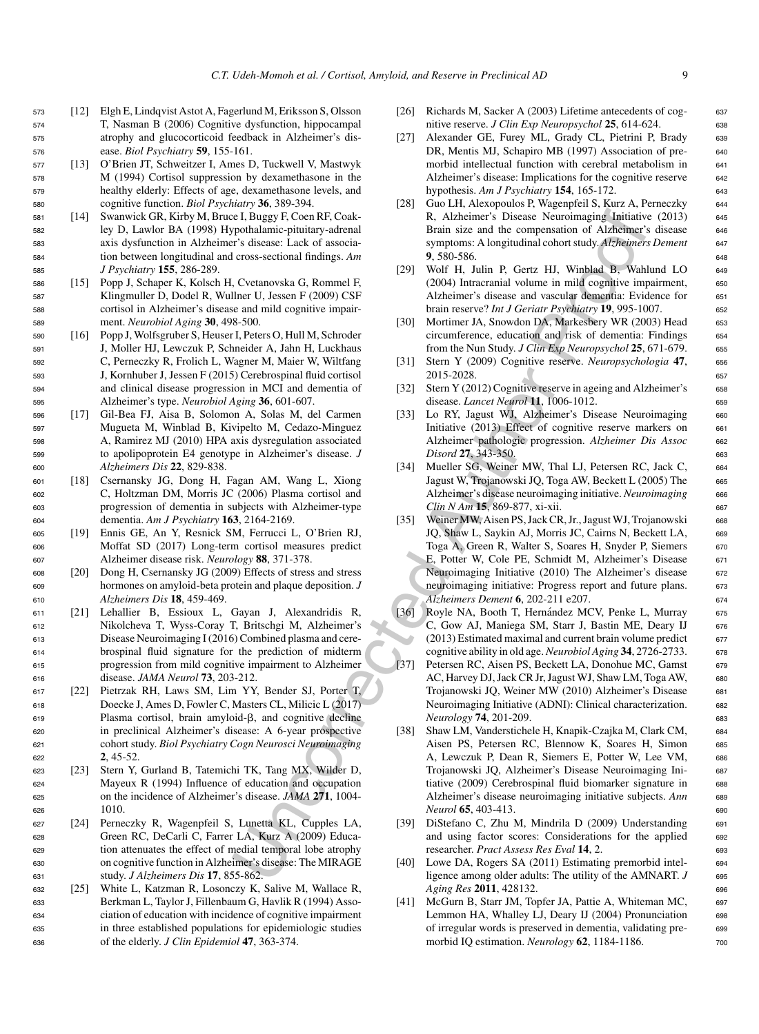- <sup>573</sup> [12] Elgh E, Lindqvist Astot A, Fagerlund M, Eriksson S, Olsson <sup>574</sup> T, Nasman B (2006) Cognitive dysfunction, hippocampal <sup>575</sup> atrophy and glucocorticoid feedback in Alzheimer's dis-<sup>576</sup> ease. *Biol Psychiatry* **59**, 155-161.
- <sup>577</sup> [13] O'Brien JT, Schweitzer I, Ames D, Tuckwell V, Mastwyk <sup>578</sup> M (1994) Cortisol suppression by dexamethasone in the <sup>579</sup> healthy elderly: Effects of age, dexamethasone levels, and <sup>580</sup> cognitive function. *Biol Psychiatry* **36**, 389-394.
- <sup>581</sup> [14] Swanwick GR, Kirby M, Bruce I, Buggy F, Coen RF, Coak-<sup>582</sup> ley D, Lawlor BA (1998) Hypothalamic-pituitary-adrenal <sup>583</sup> axis dysfunction in Alzheimer's disease: Lack of associa-<sup>584</sup> tion between longitudinal and cross-sectional findings. *Am* <sup>585</sup> *J Psychiatry* **155**, 286-289.
- <sup>586</sup> [15] Popp J, Schaper K, Kolsch H, Cvetanovska G, Rommel F, <sup>587</sup> Klingmuller D, Dodel R, Wullner U, Jessen F (2009) CSF <sup>588</sup> cortisol in Alzheimer's disease and mild cognitive impair-<sup>589</sup> ment. *Neurobiol Aging* **30**, 498-500.
- <sup>590</sup> [16] Popp J, Wolfsgruber S, Heuser I, Peters O, Hull M, Schroder <sup>591</sup> J, Moller HJ, Lewczuk P, Schneider A, Jahn H, Luckhaus <sup>592</sup> C, Perneczky R, Frolich L, Wagner M, Maier W, Wiltfang <sup>593</sup> J, Kornhuber J, Jessen F (2015) Cerebrospinal fluid cortisol <sup>594</sup> and clinical disease progression in MCI and dementia of <sup>595</sup> Alzheimer's type. *Neurobiol Aging* **36**, 601-607.
- <sup>596</sup> [17] Gil-Bea FJ, Aisa B, Solomon A, Solas M, del Carmen <sup>597</sup> Mugueta M, Winblad B, Kivipelto M, Cedazo-Minguez <sup>598</sup> A, Ramirez MJ (2010) HPA axis dysregulation associated <sup>599</sup> to apolipoprotein E4 genotype in Alzheimer's disease. *J* <sup>600</sup> *Alzheimers Dis* **22**, 829-838.
- <sup>601</sup> [18] Csernansky JG, Dong H, Fagan AM, Wang L, Xiong <sup>602</sup> C, Holtzman DM, Morris JC (2006) Plasma cortisol and <sup>603</sup> progression of dementia in subjects with Alzheimer-type <sup>604</sup> dementia. *Am J Psychiatry* **163**, 2164-2169.
- <sup>605</sup> [19] Ennis GE, An Y, Resnick SM, Ferrucci L, O'Brien RJ, <sup>606</sup> Moffat SD (2017) Long-term cortisol measures predict <sup>607</sup> Alzheimer disease risk. *Neurology* **88**, 371-378.
- <sup>608</sup> [20] Dong H, Csernansky JG (2009) Effects of stress and stress <sup>609</sup> hormones on amyloid-beta protein and plaque deposition. *J* <sup>610</sup> *Alzheimers Dis* **18**, 459-469.
- <sup>611</sup> [21] Lehallier B, Essioux L, Gayan J, Alexandridis R, <sup>612</sup> Nikolcheva T, Wyss-Coray T, Britschgi M, Alzheimer's <sup>613</sup> Disease Neuroimaging I (2016) Combined plasma and cere-<sup>614</sup> brospinal fluid signature for the prediction of midterm <sup>615</sup> progression from mild cognitive impairment to Alzheimer <sup>616</sup> disease. *JAMA Neurol* **73**, 203-212.
- <sup>617</sup> [22] Pietrzak RH, Laws SM, Lim YY, Bender SJ, Porter T, <sup>618</sup> Doecke J, Ames D, Fowler C, Masters CL, Milicic L (2017) 619 Plasma cortisol, brain amyloid-β, and cognitive decline <sup>620</sup> in preclinical Alzheimer's disease: A 6-year prospective <sup>621</sup> cohort study. *Biol Psychiatry Cogn Neurosci Neuroimaging* <sup>622</sup> **2**, 45-52.
- <sup>623</sup> [23] Stern Y, Gurland B, Tatemichi TK, Tang MX, Wilder D, <sup>624</sup> Mayeux R (1994) Influence of education and occupation <sup>625</sup> on the incidence of Alzheimer's disease. *JAMA* **271**, 1004- <sup>626</sup> 1010.
- <sup>627</sup> [24] Perneczky R, Wagenpfeil S, Lunetta KL, Cupples LA, <sup>628</sup> Green RC, DeCarli C, Farrer LA, Kurz A (2009) Educa-<sup>629</sup> tion attenuates the effect of medial temporal lobe atrophy <sup>630</sup> on cognitive function in Alzheimer's disease: The MIRAGE <sup>631</sup> study. *J Alzheimers Dis* **17**, 855-862.
- <sup>632</sup> [25] White L, Katzman R, Losonczy K, Salive M, Wallace R, <sup>633</sup> Berkman L, Taylor J, Fillenbaum G, Havlik R (1994) Asso-<sup>634</sup> ciation of education with incidence of cognitive impairment <sup>635</sup> in three established populations for epidemiologic studies <sup>636</sup> of the elderly. *J Clin Epidemiol* **47**, 363-374.
- [26] Richards M, Sacker A (2003) Lifetime antecedents of cog- 637 nitive reserve. *J Clin Exp Neuropsychol* 25, 614-624. 638
- [27] Alexander GE, Furey ML, Grady CL, Pietrini P, Brady 639 DR, Mentis MJ, Schapiro MB (1997) Association of premorbid intellectual function with cerebral metabolism in 641 Alzheimer's disease: Implications for the cognitive reserve 642 hypothesis. *Am J Psychiatry* **154**, 165-172. <sup>643</sup>
- [28] Guo LH, Alexopoulos P, Wagenpfeil S, Kurz A, Perneczky <sup>644</sup> R, Alzheimer's Disease Neuroimaging Initiative (2013) 645 Brain size and the compensation of Alzheimer's disease 646 symptoms: A longitudinal cohort study. *Alzheimers Dement* 647 **9**, 580-586. 648
- [29] Wolf H, Julin P, Gertz HJ, Winblad B, Wahlund LO 649 (2004) Intracranial volume in mild cognitive impairment, 650 Alzheimer's disease and vascular dementia: Evidence for 651 brain reserve? *Int J Geriatr Psychiatry* **19**, 995-1007. <sup>652</sup>
- [30] Mortimer JA, Snowdon DA, Markesbery WR (2003) Head 653 circumference, education and risk of dementia: Findings <sup>654</sup> from the Nun Study. *J Clin Exp Neuropsychol* **25**, 671-679. <sup>655</sup>
- [31] Stern Y (2009) Cognitive reserve. *Neuropsychologia* **47**, <sup>656</sup> 2015-2028. <sup>657</sup>
- [32] Stern Y (2012) Cognitive reserve in ageing and Alzheimer's 658 disease. *Lancet Neurol* **11**, 1006-1012. <sup>659</sup>
- [33] Lo RY, Jagust WJ, Alzheimer's Disease Neuroimaging 660 Initiative (2013) Effect of cognitive reserve markers on 661 Alzheimer pathologic progression. *Alzheimer Dis Assoc* <sup>662</sup> *Disord* 27, 343-350. 663
- [34] Mueller SG, Weiner MW, Thal LJ, Petersen RC, Jack C, 664 Jagust W, Trojanowski JQ, Toga AW, Beckett L (2005) The 665 Alzheimer's disease neuroimaging initiative. *Neuroimaging* 666 *Clin N Am* **15**, 869-877, xi-xii. 667
- Let Due yr. Coale, R. Athénor's Dissear Newtonianing Initiative and Normannian Initiative Coale Newtonianing Initiative (2013) Let Let Author Scatter and the proofit High Scatter (2013) Normannial Continent Continent Cont [35] Weiner MW, Aisen PS, Jack CR, Jr., Jagust WJ, Trojanowski 668 JQ, Shaw L, Saykin AJ, Morris JC, Cairns N, Beckett LA, 669 Toga A, Green R, Walter S, Soares H, Snyder P, Siemers 670 E, Potter W, Cole PE, Schmidt M, Alzheimer's Disease 671 Neuroimaging Initiative (2010) The Alzheimer's disease 672 neuroimaging initiative: Progress report and future plans. 673 *Alzheimers Dement* **6**, 202-211 e207. <sup>674</sup>
	- [36] Royle NA, Booth T, Hernández MCV, Penke L, Murray 675 C, Gow AJ, Maniega SM, Starr J, Bastin ME, Deary IJ 676  $(2013)$  Estimated maximal and current brain volume predict  $677$ cognitive ability in old age. *Neurobiol Aging* **34**, 2726-2733. <sup>678</sup>
	- [37] Petersen RC, Aisen PS, Beckett LA, Donohue MC, Gamst 679 AC, Harvey DJ, Jack CR Jr, Jagust WJ, Shaw LM, Toga AW, 680 Trojanowski JQ, Weiner MW (2010) Alzheimer's Disease 681 Neuroimaging Initiative (ADNI): Clinical characterization. 682 *Neurology* **74**, 201-209. <sup>683</sup>
	- [38] Shaw LM, Vanderstichele H, Knapik-Czajka M, Clark CM, 684 Aisen PS, Petersen RC, Blennow K, Soares H, Simon 685 A, Lewczuk P, Dean R, Siemers E, Potter W, Lee VM, 686 Trojanowski JQ, Alzheimer's Disease Neuroimaging Ini- <sup>687</sup> tiative (2009) Cerebrospinal fluid biomarker signature in 688 Alzheimer's disease neuroimaging initiative subjects. *Ann* 689 *Neurol* **65**, 403-413. 690
	- [39] DiStefano C, Zhu M, Mindrila D (2009) Understanding 691 and using factor scores: Considerations for the applied 692 researcher. *Pract Assess Res Eval* **14**, 2. <sup>693</sup>
	- [40] Lowe DA, Rogers SA (2011) Estimating premorbid intel- 694 ligence among older adults: The utility of the AMNART. *J* 695 *Aging Res* **2011**, 428132. <sup>696</sup>
	- [41] McGurn B, Starr JM, Topfer JA, Pattie A, Whiteman MC, 697 Lemmon HA, Whalley LJ, Deary IJ (2004) Pronunciation 698 of irregular words is preserved in dementia, validating pre- <sup>699</sup> morbid IQ estimation. *Neurology* **62**, 1184-1186. 700